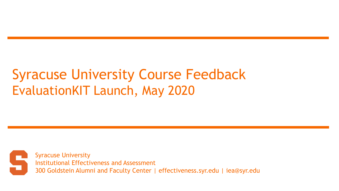# Syracuse University Course Feedback EvaluationKIT Launch, May 2020

Syracuse University Institutional Effectiveness and Assessment 300 Goldstein Alumni and Faculty Center | effectiveness.syr.edu | iea@syr.edu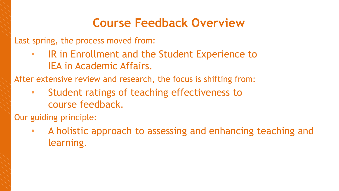#### **Course Feedback Overview**

Last spring, the process moved from:

IR in Enrollment and the Student Experience to IEA in Academic Affairs.

After extensive review and research, the focus is shifting from:

Student ratings of teaching effectiveness to course feedback.

Our guiding principle:

• A holistic approach to assessing and enhancing teaching and learning.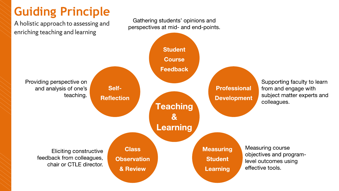# **Guiding Principle**

A holistic approach to assessing and enriching teaching and learning

Gathering students' opinions and perspectives at mid- and end-points.

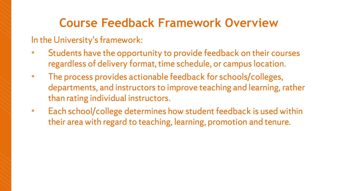#### **Course Feedback Framework Overview**

#### In the University's framework:

- Students have the opportunity to provide feedback on their courses regardless of delivery format, time schedule, or campus location.
- The process provides actionable feedback for schools/colleges, departments, and instructors to improve teaching and learning, rather than rating individual instructors.
- Each school/college determines how student feedback is used within their area with regard to teaching, learning, promotion and tenure.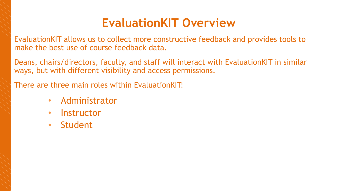### **EvaluationKIT Overview**

EvaluationKIT allows us to collect more constructive feedback and provides tools to make the best use of course feedback data.

Deans, chairs/directors, faculty, and staff will interact with EvaluationKIT in similar ways, but with different visibility and access permissions.

There are three main roles within EvaluationKIT:

- Administrator
- Instructor
- Student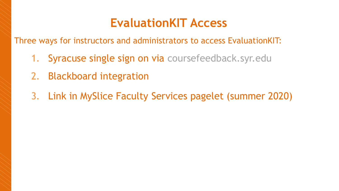#### **EvaluationKIT Access**

Three ways for instructors and administrators to access EvaluationKIT:

- 1. Syracuse single sign on via coursefeedback.syr.edu
- 2. Blackboard integration
- 3. Link in MySlice Faculty Services pagelet (summer 2020)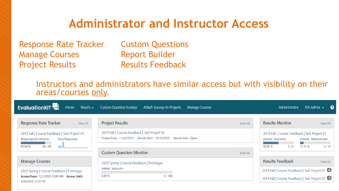#### **Administrator and Instructor Access**

Response Rate Tracker Custom Questions Manage Courses **Report Builder** Project Results **Results Feedback** 

Instructors and administrators have similar access but with visibility on their areas/courses only.

| <b>EvaluationKIT</b><br>Results $\sim$<br>Home                                                                     | <b>Custom Question Surveys</b><br>Attach Surveys to Projects<br>Manage Courses                                                 |          | Administrator                                                                                | IEA Admin $\sim$<br>ଵ |
|--------------------------------------------------------------------------------------------------------------------|--------------------------------------------------------------------------------------------------------------------------------|----------|----------------------------------------------------------------------------------------------|-----------------------|
| <b>Response Rate Tracker</b><br><b>View All</b>                                                                    | <b>Project Results</b>                                                                                                         | View All | <b>Results Monitor</b>                                                                       | View All              |
| 2019 Fall   Course Feedback   Test Project 01<br>Responses/Enrollments<br>Daily Responses<br>68/85<br>80.00 %<br>ᄿ | 2019 Fall   Course Feedback   Test Project 01<br>Project Ends - 11/22/2019    Results Start - 10/10/2019<br>Results End - Open |          | 2019 Fall   Course Feedback   Test Project 01<br>Viewed: Administrator<br>Viewed: Instructor |                       |
|                                                                                                                    | <b>Custom Question Monitor</b>                                                                                                 | View All | 50.00 %<br>11.11 %<br>3/6                                                                    | 2/18                  |
| <b>Manage Courses</b>                                                                                              | 2020 Spring   Course Feedback   Prototype                                                                                      |          | <b>Results Feedback</b>                                                                      | View All              |
| 2020 Spring   Course Feedback   Prototype<br>Access From: 1/21/2020 12:00 AM Access Until:<br>6/30/2020 11:59 PM   | Added: Instructor<br>0.00%<br>0/244                                                                                            |          | 2019 Fall   Course Feedback   Test Project 01 6                                              |                       |
|                                                                                                                    |                                                                                                                                |          | 2019 Fall   Course Feedback   Test Project 02                                                |                       |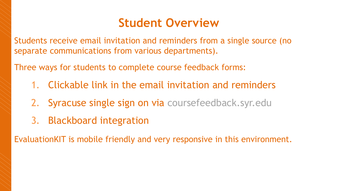#### **Student Overview**

Students receive email invitation and reminders from a single source (no separate communications from various departments).

Three ways for students to complete course feedback forms:

- 1. Clickable link in the email invitation and reminders
- 2. Syracuse single sign on via coursefeedback.syr.edu
- 3. Blackboard integration

EvaluationKIT is mobile friendly and very responsive in this environment.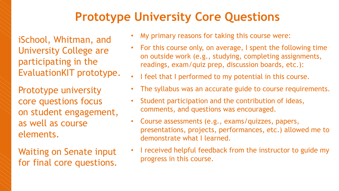## **Prototype University Core Questions**

iSchool, Whitman, and University College are participating in the EvaluationKIT prototype.

Prototype university core questions focus on student engagement, as well as course elements.

Waiting on Senate input for final core questions.

- My primary reasons for taking this course were:
- For this course only, on average, I spent the following time on outside work (e.g., studying, completing assignments, readings, exam/quiz prep, discussion boards, etc.):
- I feel that I performed to my potential in this course.
- The syllabus was an accurate guide to course requirements.
- Student participation and the contribution of ideas, comments, and questions was encouraged.
- Course assessments (e.g., exams/quizzes, papers, presentations, projects, performances, etc.) allowed me to demonstrate what I learned.
- I received helpful feedback from the instructor to guide my progress in this course.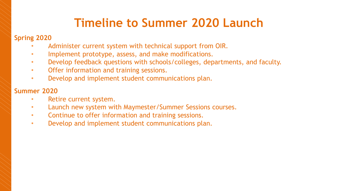### **Timeline to Summer 2020 Launch**

#### **Spring 2020**

- Administer current system with technical support from OIR.
- Implement prototype, assess, and make modifications.
- Develop feedback questions with schools/colleges, departments, and faculty.
- Offer information and training sessions.
- Develop and implement student communications plan.

#### **Summer 2020**

- Retire current system.
- Launch new system with Maymester/Summer Sessions courses.
- Continue to offer information and training sessions.
- Develop and implement student communications plan.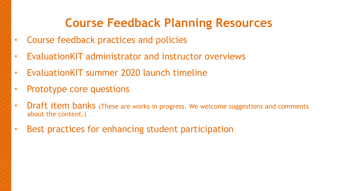### **Course Feedback Planning Resources**

- Course feedback practices and policies
- EvaluationKIT administrator and instructor overviews
- EvaluationKIT summer 2020 launch timeline
- Prototype core questions
- Draft item banks (These are works in progress. We welcome suggestions and comments about the content.)
- Best practices for enhancing student participation